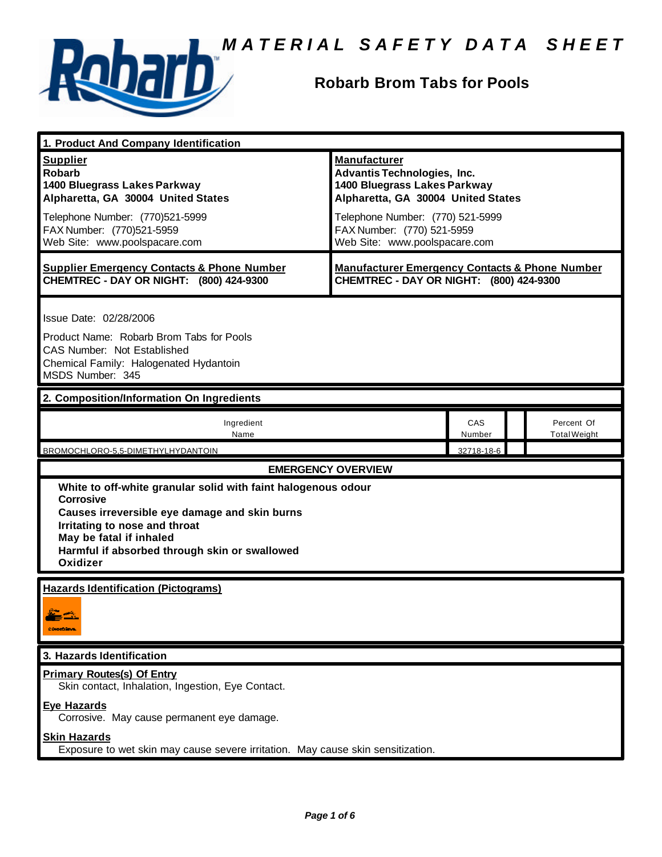

# **Robarb Brom Tabs for Pools**

| 1. Product And Company Identification                                                                                                                                                                                                                                |                                                                                                                                                                                                                                    |               |                                   |  |
|----------------------------------------------------------------------------------------------------------------------------------------------------------------------------------------------------------------------------------------------------------------------|------------------------------------------------------------------------------------------------------------------------------------------------------------------------------------------------------------------------------------|---------------|-----------------------------------|--|
| <b>Supplier</b><br><b>Robarb</b><br>1400 Bluegrass Lakes Parkway<br>Alpharetta, GA 30004 United States<br>Telephone Number: (770)521-5999<br>FAX Number: (770)521-5959<br>Web Site: www.poolspacare.com                                                              | <b>Manufacturer</b><br><b>Advantis Technologies, Inc.</b><br>1400 Bluegrass Lakes Parkway<br>Alpharetta, GA 30004 United States<br>Telephone Number: (770) 521-5999<br>FAX Number: (770) 521-5959<br>Web Site: www.poolspacare.com |               |                                   |  |
| <b>Supplier Emergency Contacts &amp; Phone Number</b><br>CHEMTREC - DAY OR NIGHT: (800) 424-9300                                                                                                                                                                     | <b>Manufacturer Emergency Contacts &amp; Phone Number</b><br>CHEMTREC - DAY OR NIGHT: (800) 424-9300                                                                                                                               |               |                                   |  |
| Issue Date: 02/28/2006<br>Product Name: Robarb Brom Tabs for Pools<br><b>CAS Number: Not Established</b><br>Chemical Family: Halogenated Hydantoin<br>MSDS Number: 345                                                                                               |                                                                                                                                                                                                                                    |               |                                   |  |
| 2. Composition/Information On Ingredients                                                                                                                                                                                                                            |                                                                                                                                                                                                                                    |               |                                   |  |
| Ingredient<br>Name                                                                                                                                                                                                                                                   |                                                                                                                                                                                                                                    | CAS<br>Number | Percent Of<br><b>Total Weight</b> |  |
| BROMOCHLORO-5,5-DIMETHYLHYDANTOIN                                                                                                                                                                                                                                    |                                                                                                                                                                                                                                    | 32718-18-6    |                                   |  |
| <b>EMERGENCY OVERVIEW</b>                                                                                                                                                                                                                                            |                                                                                                                                                                                                                                    |               |                                   |  |
| White to off-white granular solid with faint halogenous odour<br><b>Corrosive</b><br>Causes irreversible eye damage and skin burns<br>Irritating to nose and throat<br>May be fatal if inhaled<br>Harmful if absorbed through skin or swallowed<br>Oxidizer          |                                                                                                                                                                                                                                    |               |                                   |  |
| <b>Hazards Identification (Pictograms)</b><br>المتعود المتناقي<br><b>CONTOURNE</b>                                                                                                                                                                                   |                                                                                                                                                                                                                                    |               |                                   |  |
| 3. Hazards Identification                                                                                                                                                                                                                                            |                                                                                                                                                                                                                                    |               |                                   |  |
| <b>Primary Routes(s) Of Entry</b><br>Skin contact, Inhalation, Ingestion, Eye Contact.<br><b>Eye Hazards</b><br>Corrosive. May cause permanent eye damage.<br><b>Skin Hazards</b><br>Exposure to wet skin may cause severe irritation. May cause skin sensitization. |                                                                                                                                                                                                                                    |               |                                   |  |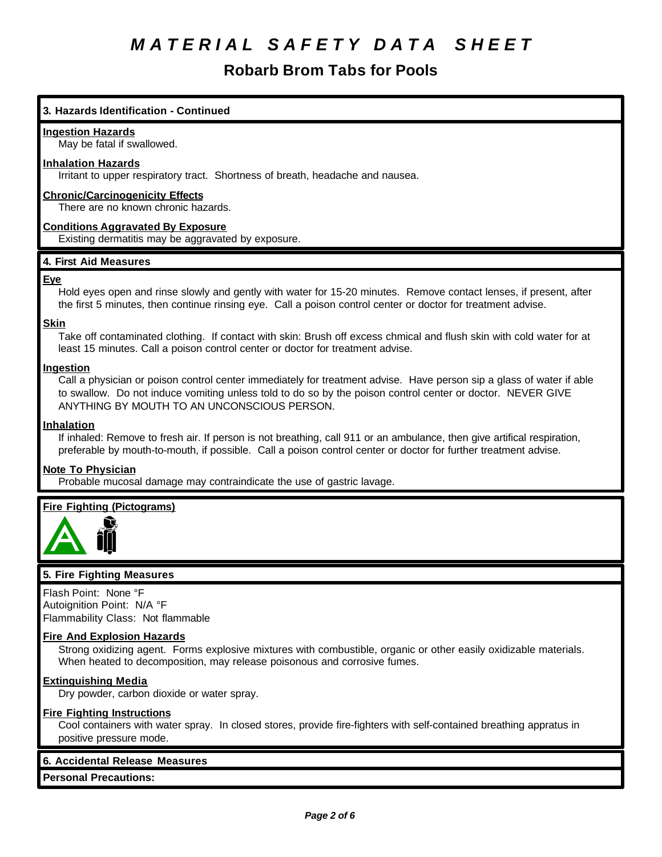# **Robarb Brom Tabs for Pools**

# **3. Hazards Identification - Continued**

### **Ingestion Hazards**

May be fatal if swallowed.

## **Inhalation Hazards**

Irritant to upper respiratory tract. Shortness of breath, headache and nausea.

## **Chronic/Carcinogenicity Effects**

There are no known chronic hazards.

## **Conditions Aggravated By Exposure**

Existing dermatitis may be aggravated by exposure.

# **4. First Aid Measures**

### **Eye**

Hold eyes open and rinse slowly and gently with water for 15-20 minutes. Remove contact lenses, if present, after the first 5 minutes, then continue rinsing eye. Call a poison control center or doctor for treatment advise.

### **Skin**

Take off contaminated clothing. If contact with skin: Brush off excess chmical and flush skin with cold water for at least 15 minutes. Call a poison control center or doctor for treatment advise.

### **Ingestion**

Call a physician or poison control center immediately for treatment advise. Have person sip a glass of water if able to swallow. Do not induce vomiting unless told to do so by the poison control center or doctor. NEVER GIVE ANYTHING BY MOUTH TO AN UNCONSCIOUS PERSON.

## **Inhalation**

If inhaled: Remove to fresh air. If person is not breathing, call 911 or an ambulance, then give artifical respiration, preferable by mouth-to-mouth, if possible. Call a poison control center or doctor for further treatment advise.

## **Note To Physician**

Probable mucosal damage may contraindicate the use of gastric lavage.

# **Fire Fighting (Pictograms)**



### **5. Fire Fighting Measures**

Flash Point: None °F Autoignition Point: N/A °F Flammability Class: Not flammable

### **Fire And Explosion Hazards**

Strong oxidizing agent. Forms explosive mixtures with combustible, organic or other easily oxidizable materials. When heated to decomposition, may release poisonous and corrosive fumes.

# **Extinguishing Media**

Dry powder, carbon dioxide or water spray.

### **Fire Fighting Instructions**

Cool containers with water spray. In closed stores, provide fire-fighters with self-contained breathing appratus in positive pressure mode.

## **6. Accidental Release Measures**

**Personal Precautions:**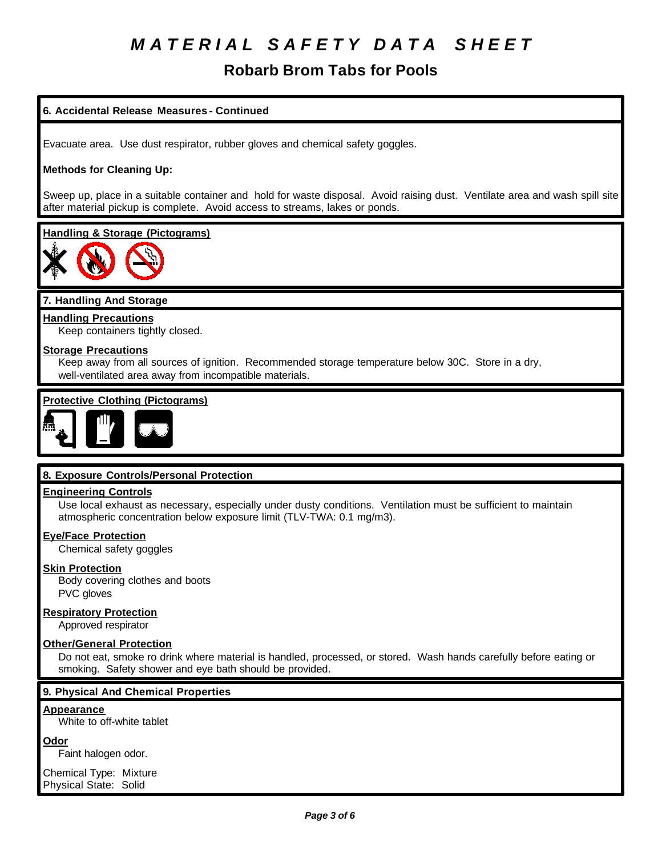# **Robarb Brom Tabs for Pools**

# **6. Accidental Release Measures - Continued**

Evacuate area. Use dust respirator, rubber gloves and chemical safety goggles.

# **Methods for Cleaning Up:**

Sweep up, place in a suitable container and hold for waste disposal. Avoid raising dust. Ventilate area and wash spill site after material pickup is complete. Avoid access to streams, lakes or ponds.

### **Handling & Storage (Pictograms)**



# **7. Handling And Storage**

**Handling Precautions** Keep containers tightly closed.

# **Storage Precautions**

Keep away from all sources of ignition. Recommended storage temperature below 30C. Store in a dry, well-ventilated area away from incompatible materials.

# **Protective Clothing (Pictograms)**



# **8. Exposure Controls/Personal Protection**

### **Engineering Controls**

Use local exhaust as necessary, especially under dusty conditions. Ventilation must be sufficient to maintain atmospheric concentration below exposure limit (TLV-TWA: 0.1 mg/m3).

## **Eye/Face Protection**

Chemical safety goggles

## **Skin Protection**

Body covering clothes and boots PVC gloves

### **Respiratory Protection**

Approved respirator

### **Other/General Protection**

Do not eat, smoke ro drink where material is handled, processed, or stored. Wash hands carefully before eating or smoking. Safety shower and eye bath should be provided.

### **9. Physical And Chemical Properties**

#### **Appearance**

White to off-white tablet

### **Odor**

Faint halogen odor.

Chemical Type: Mixture Physical State: Solid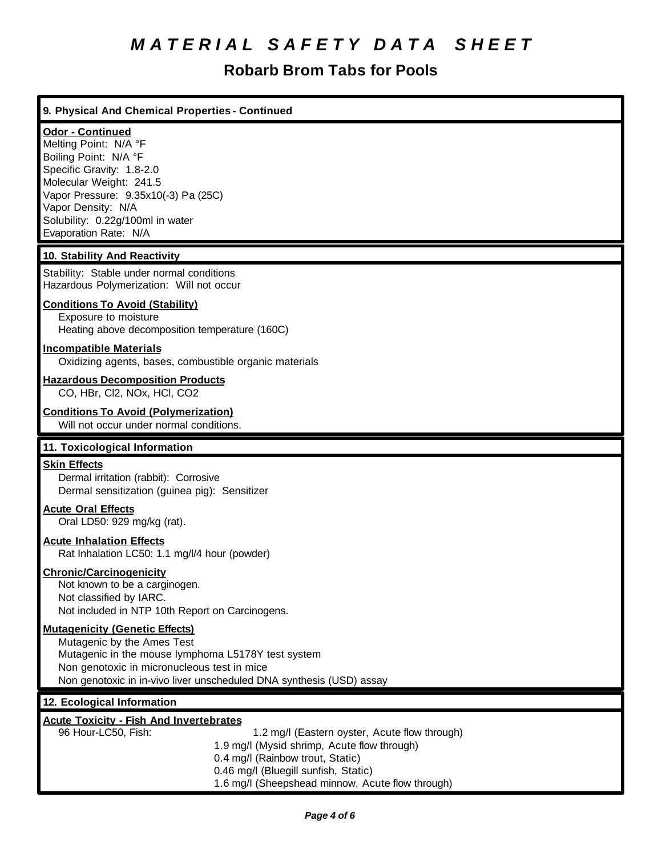# **Robarb Brom Tabs for Pools**

| 9. Physical And Chemical Properties - Continued                                                                                                                                                                                                                                                       |
|-------------------------------------------------------------------------------------------------------------------------------------------------------------------------------------------------------------------------------------------------------------------------------------------------------|
| Odor - Continued<br>Melting Point: N/A °F<br>Boiling Point: N/A °F<br>Specific Gravity: 1.8-2.0<br>Molecular Weight: 241.5<br>Vapor Pressure: 9.35x10(-3) Pa (25C)<br>Vapor Density: N/A<br>Solubility: 0.22g/100ml in water<br>Evaporation Rate: N/A                                                 |
| 10. Stability And Reactivity                                                                                                                                                                                                                                                                          |
| Stability: Stable under normal conditions<br>Hazardous Polymerization: Will not occur                                                                                                                                                                                                                 |
| <b>Conditions To Avoid (Stability)</b><br>Exposure to moisture<br>Heating above decomposition temperature (160C)                                                                                                                                                                                      |
| <b>Incompatible Materials</b><br>Oxidizing agents, bases, combustible organic materials                                                                                                                                                                                                               |
| <b>Hazardous Decomposition Products</b><br>CO, HBr, Cl2, NOx, HCl, CO2                                                                                                                                                                                                                                |
| <b>Conditions To Avoid (Polymerization)</b><br>Will not occur under normal conditions.                                                                                                                                                                                                                |
| 11. Toxicological Information                                                                                                                                                                                                                                                                         |
| <b>Skin Effects</b><br>Dermal irritation (rabbit): Corrosive<br>Dermal sensitization (guinea pig): Sensitizer                                                                                                                                                                                         |
| <b>Acute Oral Effects</b><br>Oral LD50: 929 mg/kg (rat).                                                                                                                                                                                                                                              |
| <b>Acute Inhalation Effects</b><br>Rat Inhalation LC50: 1.1 mg/l/4 hour (powder)                                                                                                                                                                                                                      |
| <b>Chronic/Carcinogenicity</b><br>Not known to be a carginogen.<br>Not classified by IARC.<br>Not included in NTP 10th Report on Carcinogens.                                                                                                                                                         |
| <b>Mutagenicity (Genetic Effects)</b><br>Mutagenic by the Ames Test<br>Mutagenic in the mouse lymphoma L5178Y test system<br>Non genotoxic in micronucleous test in mice<br>Non genotoxic in in-vivo liver unscheduled DNA synthesis (USD) assay                                                      |
| 12. Ecological Information                                                                                                                                                                                                                                                                            |
| <b>Acute Toxicity - Fish And Invertebrates</b><br>96 Hour-LC50, Fish:<br>1.2 mg/l (Eastern oyster, Acute flow through)<br>1.9 mg/l (Mysid shrimp, Acute flow through)<br>0.4 mg/l (Rainbow trout, Static)<br>0.46 mg/l (Bluegill sunfish, Static)<br>1.6 mg/l (Sheepshead minnow, Acute flow through) |

×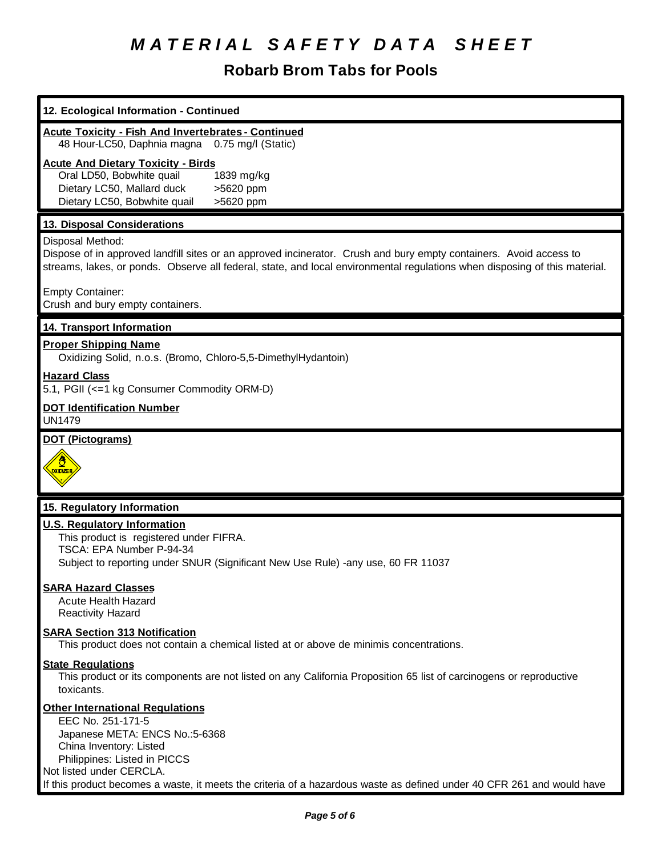# **Robarb Brom Tabs for Pools**

| 12. Ecological Information - Continued                                                                                                                                                                                                                                                                         |
|----------------------------------------------------------------------------------------------------------------------------------------------------------------------------------------------------------------------------------------------------------------------------------------------------------------|
| <b>Acute Toxicity - Fish And Invertebrates - Continued</b><br>48 Hour-LC50, Daphnia magna 0.75 mg/l (Static)                                                                                                                                                                                                   |
| <b>Acute And Dietary Toxicity - Birds</b><br>Oral LD50, Bobwhite quail<br>1839 mg/kg<br>Dietary LC50, Mallard duck<br>>5620 ppm<br>Dietary LC50, Bobwhite quail<br>>5620 ppm                                                                                                                                   |
| 13. Disposal Considerations                                                                                                                                                                                                                                                                                    |
| Disposal Method:<br>Dispose of in approved landfill sites or an approved incinerator. Crush and bury empty containers. Avoid access to<br>streams, lakes, or ponds. Observe all federal, state, and local environmental regulations when disposing of this material.                                           |
| <b>Empty Container:</b><br>Crush and bury empty containers.                                                                                                                                                                                                                                                    |
| 14. Transport Information                                                                                                                                                                                                                                                                                      |
| <b>Proper Shipping Name</b><br>Oxidizing Solid, n.o.s. (Bromo, Chloro-5,5-DimethylHydantoin)                                                                                                                                                                                                                   |
| <b>Hazard Class</b><br>5.1, PGII (<=1 kg Consumer Commodity ORM-D)                                                                                                                                                                                                                                             |
| <b>DOT Identification Number</b><br><b>UN1479</b>                                                                                                                                                                                                                                                              |
| <b>DOT (Pictograms)</b><br><b>OXDIZER</b>                                                                                                                                                                                                                                                                      |
| 15. Regulatory Information                                                                                                                                                                                                                                                                                     |
| <b>U.S. Regulatory Information</b><br>This product is registered under FIFRA.<br>TSCA: EPA Number P-94-34<br>Subject to reporting under SNUR (Significant New Use Rule) -any use, 60 FR 11037                                                                                                                  |
| <b>SARA Hazard Classes</b><br><b>Acute Health Hazard</b><br><b>Reactivity Hazard</b>                                                                                                                                                                                                                           |
| <b>SARA Section 313 Notification</b><br>This product does not contain a chemical listed at or above de minimis concentrations.                                                                                                                                                                                 |
| <b>State Regulations</b><br>This product or its components are not listed on any California Proposition 65 list of carcinogens or reproductive<br>toxicants.                                                                                                                                                   |
| <b>Other International Regulations</b><br>EEC No. 251-171-5<br>Japanese META: ENCS No.:5-6368<br>China Inventory: Listed<br>Philippines: Listed in PICCS<br>Not listed under CERCLA.<br>If this product becomes a waste, it meets the criteria of a hazardous waste as defined under 40 CFR 261 and would have |